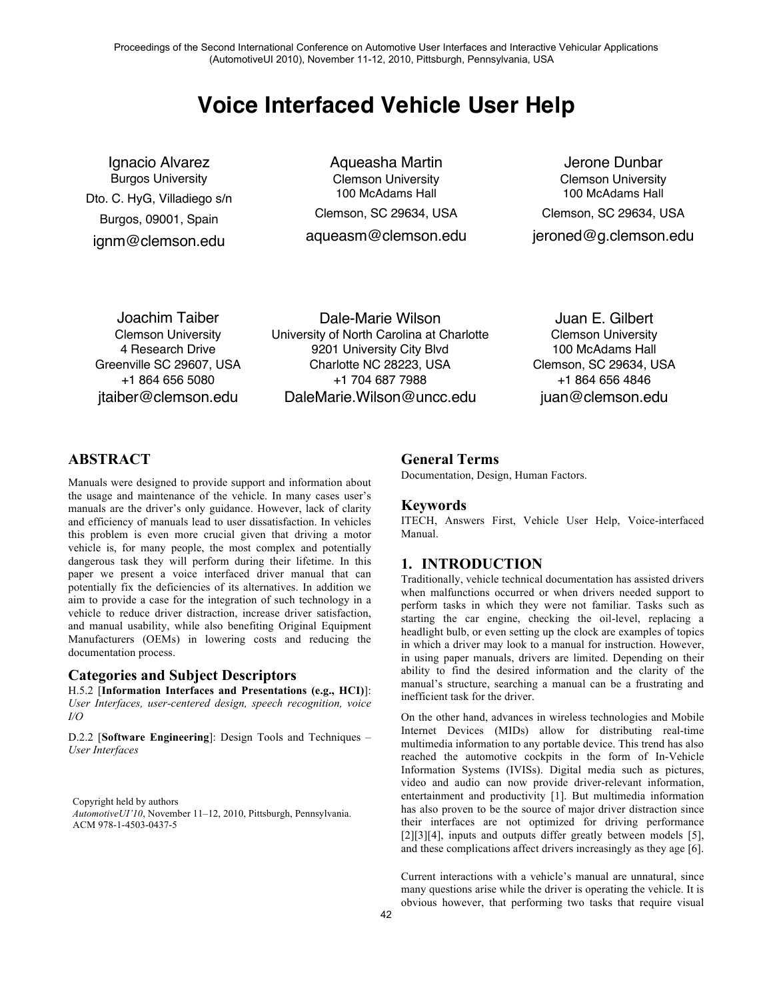Proceedings of the Second International Conference on Automotive User Interfaces and Interactive Vehicular Applications (AutomotiveUI 2010), November 11-12, 2010, Pittsburgh, Pennsylvania, USA

# **Voice Interfaced Vehicle User Help**

Ignacio Alvarez Burgos University Dto. C. HyG, Villadiego s/n Burgos, 09001, Spain ignm@clemson.edu

Aqueasha Martin Clemson University 100 McAdams Hall Clemson, SC 29634, USA aqueasm@clemson.edu

Jerone Dunbar Clemson University 100 McAdams Hall Clemson, SC 29634, USA jeroned@g.clemson.edu

Joachim Taiber Clemson University 4 Research Drive Greenville SC 29607, USA +1 864 656 5080 jtaiber@clemson.edu

Dale-Marie Wilson University of North Carolina at Charlotte 9201 University City Blvd Charlotte NC 28223, USA +1 704 687 7988 DaleMarie.Wilson@uncc.edu

Juan E. Gilbert Clemson University 100 McAdams Hall Clemson, SC 29634, USA +1 864 656 4846 juan@clemson.edu

# **ABSTRACT**

Manuals were designed to provide support and information about the usage and maintenance of the vehicle. In many cases user's manuals are the driver's only guidance. However, lack of clarity and efficiency of manuals lead to user dissatisfaction. In vehicles this problem is even more crucial given that driving a motor vehicle is, for many people, the most complex and potentially dangerous task they will perform during their lifetime. In this paper we present a voice interfaced driver manual that can potentially fix the deficiencies of its alternatives. In addition we aim to provide a case for the integration of such technology in a vehicle to reduce driver distraction, increase driver satisfaction, and manual usability, while also benefiting Original Equipment Manufacturers (OEMs) in lowering costs and reducing the documentation process.

#### **Categories and Subject Descriptors**

H.5.2 [**Information Interfaces and Presentations (e.g., HCI)**]: *User Interfaces, user-centered design, speech recognition, voice I/O*

D.2.2 [**Software Engineering**]: Design Tools and Techniques – *User Interfaces*

Copyright held by authors *AutomotiveUI'10*, November 11–12, 2010, Pittsburgh, Pennsylvania. ACM 978-1-4503-0437-5

### **General Terms**

Documentation, Design, Human Factors.

#### **Keywords**

ITECH, Answers First, Vehicle User Help, Voice-interfaced Manual.

# **1. INTRODUCTION**

Traditionally, vehicle technical documentation has assisted drivers when malfunctions occurred or when drivers needed support to perform tasks in which they were not familiar. Tasks such as starting the car engine, checking the oil-level, replacing a headlight bulb, or even setting up the clock are examples of topics in which a driver may look to a manual for instruction. However, in using paper manuals, drivers are limited. Depending on their ability to find the desired information and the clarity of the manual's structure, searching a manual can be a frustrating and inefficient task for the driver.

On the other hand, advances in wireless technologies and Mobile Internet Devices (MIDs) allow for distributing real-time multimedia information to any portable device. This trend has also reached the automotive cockpits in the form of In-Vehicle Information Systems (IVISs). Digital media such as pictures, video and audio can now provide driver-relevant information, entertainment and productivity [1]. But multimedia information has also proven to be the source of major driver distraction since their interfaces are not optimized for driving performance [2][3][4], inputs and outputs differ greatly between models [5], and these complications affect drivers increasingly as they age [6].

Current interactions with a vehicle's manual are unnatural, since many questions arise while the driver is operating the vehicle. It is obvious however, that performing two tasks that require visual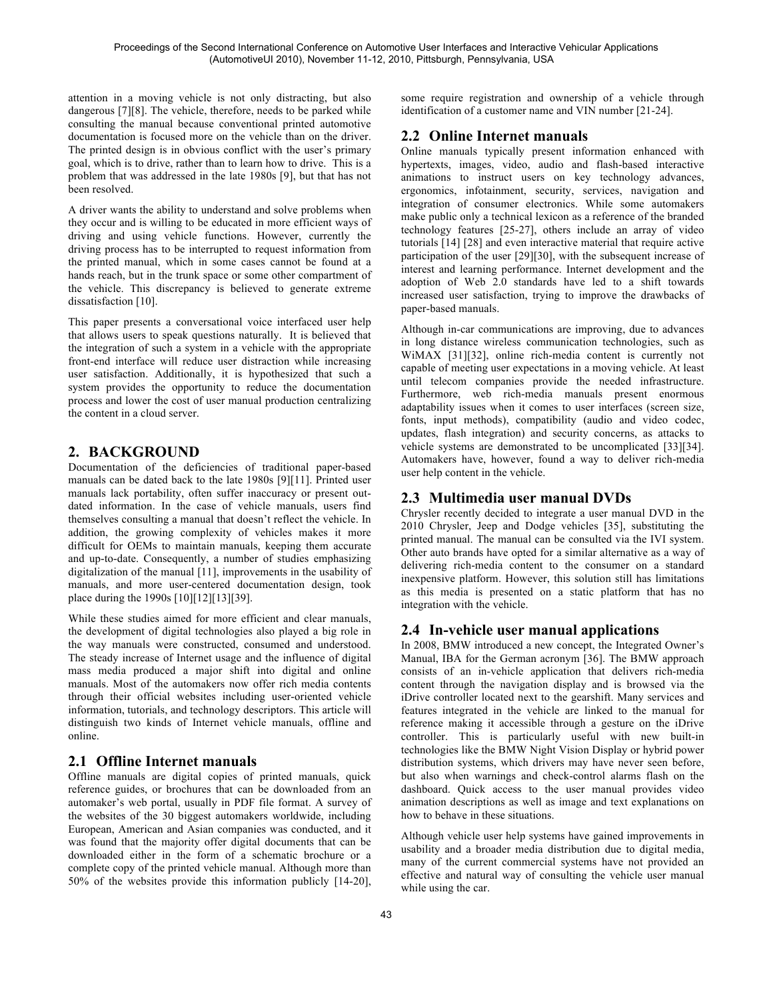attention in a moving vehicle is not only distracting, but also dangerous [7][8]. The vehicle, therefore, needs to be parked while consulting the manual because conventional printed automotive documentation is focused more on the vehicle than on the driver. The printed design is in obvious conflict with the user's primary goal, which is to drive, rather than to learn how to drive. This is a problem that was addressed in the late 1980s [9], but that has not been resolved.

A driver wants the ability to understand and solve problems when they occur and is willing to be educated in more efficient ways of driving and using vehicle functions. However, currently the driving process has to be interrupted to request information from the printed manual, which in some cases cannot be found at a hands reach, but in the trunk space or some other compartment of the vehicle. This discrepancy is believed to generate extreme dissatisfaction [10].

This paper presents a conversational voice interfaced user help that allows users to speak questions naturally. It is believed that the integration of such a system in a vehicle with the appropriate front-end interface will reduce user distraction while increasing user satisfaction. Additionally, it is hypothesized that such a system provides the opportunity to reduce the documentation process and lower the cost of user manual production centralizing the content in a cloud server.

# **2. BACKGROUND**

Documentation of the deficiencies of traditional paper-based manuals can be dated back to the late 1980s [9][11]. Printed user manuals lack portability, often suffer inaccuracy or present outdated information. In the case of vehicle manuals, users find themselves consulting a manual that doesn't reflect the vehicle. In addition, the growing complexity of vehicles makes it more difficult for OEMs to maintain manuals, keeping them accurate and up-to-date. Consequently, a number of studies emphasizing digitalization of the manual [11], improvements in the usability of manuals, and more user-centered documentation design, took place during the 1990s [10][12][13][39].

While these studies aimed for more efficient and clear manuals, the development of digital technologies also played a big role in the way manuals were constructed, consumed and understood. The steady increase of Internet usage and the influence of digital mass media produced a major shift into digital and online manuals. Most of the automakers now offer rich media contents through their official websites including user-oriented vehicle information, tutorials, and technology descriptors. This article will distinguish two kinds of Internet vehicle manuals, offline and online.

# **2.1 Offline Internet manuals**

Offline manuals are digital copies of printed manuals, quick reference guides, or brochures that can be downloaded from an automaker's web portal, usually in PDF file format. A survey of the websites of the 30 biggest automakers worldwide, including European, American and Asian companies was conducted, and it was found that the majority offer digital documents that can be downloaded either in the form of a schematic brochure or a complete copy of the printed vehicle manual. Although more than 50% of the websites provide this information publicly [14-20],

some require registration and ownership of a vehicle through identification of a customer name and VIN number [21-24].

# **2.2 Online Internet manuals**

Online manuals typically present information enhanced with hypertexts, images, video, audio and flash-based interactive animations to instruct users on key technology advances, ergonomics, infotainment, security, services, navigation and integration of consumer electronics. While some automakers make public only a technical lexicon as a reference of the branded technology features [25-27], others include an array of video tutorials [14] [28] and even interactive material that require active participation of the user [29][30], with the subsequent increase of interest and learning performance. Internet development and the adoption of Web 2.0 standards have led to a shift towards increased user satisfaction, trying to improve the drawbacks of paper-based manuals.

Although in-car communications are improving, due to advances in long distance wireless communication technologies, such as WiMAX [31][32], online rich-media content is currently not capable of meeting user expectations in a moving vehicle. At least until telecom companies provide the needed infrastructure. Furthermore, web rich-media manuals present enormous adaptability issues when it comes to user interfaces (screen size, fonts, input methods), compatibility (audio and video codec, updates, flash integration) and security concerns, as attacks to vehicle systems are demonstrated to be uncomplicated [33][34]. Automakers have, however, found a way to deliver rich-media user help content in the vehicle.

# **2.3 Multimedia user manual DVDs**

Chrysler recently decided to integrate a user manual DVD in the 2010 Chrysler, Jeep and Dodge vehicles [35], substituting the printed manual. The manual can be consulted via the IVI system. Other auto brands have opted for a similar alternative as a way of delivering rich-media content to the consumer on a standard inexpensive platform. However, this solution still has limitations as this media is presented on a static platform that has no integration with the vehicle.

### **2.4 In-vehicle user manual applications**

In 2008, BMW introduced a new concept, the Integrated Owner's Manual, IBA for the German acronym [36]. The BMW approach consists of an in-vehicle application that delivers rich-media content through the navigation display and is browsed via the iDrive controller located next to the gearshift. Many services and features integrated in the vehicle are linked to the manual for reference making it accessible through a gesture on the iDrive controller. This is particularly useful with new built-in technologies like the BMW Night Vision Display or hybrid power distribution systems, which drivers may have never seen before, but also when warnings and check-control alarms flash on the dashboard. Quick access to the user manual provides video animation descriptions as well as image and text explanations on how to behave in these situations.

Although vehicle user help systems have gained improvements in usability and a broader media distribution due to digital media, many of the current commercial systems have not provided an effective and natural way of consulting the vehicle user manual while using the car.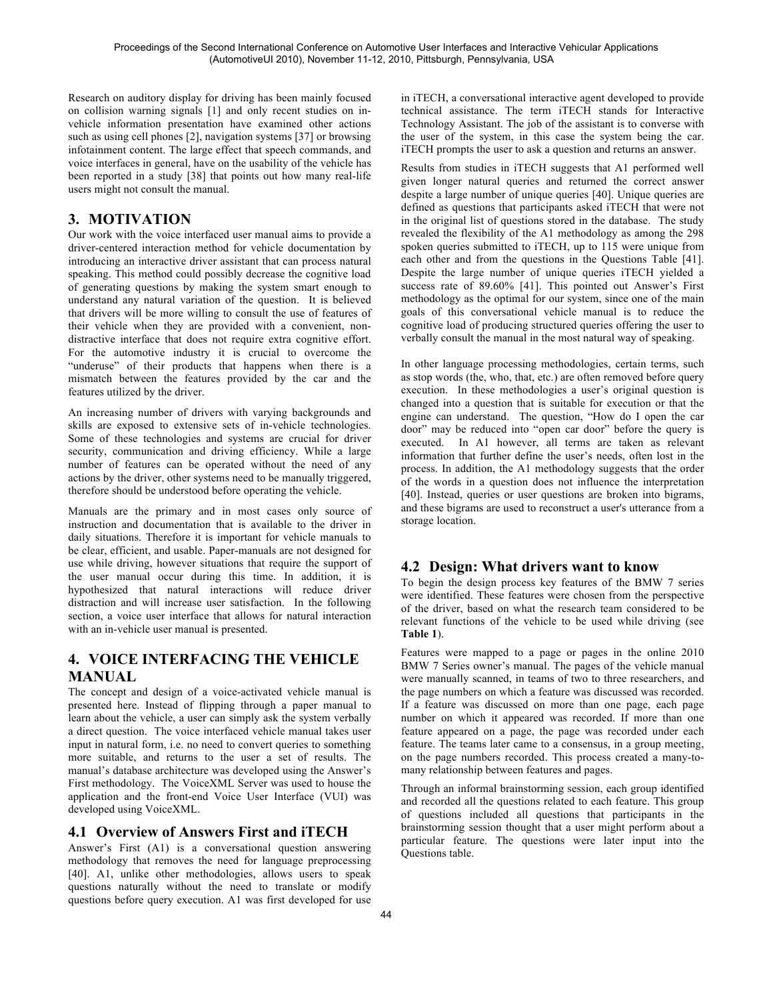Research on auditory display for driving has been mainly focused on collision warning signals [1] and only recent studies on invehicle information presentation have examined other actions such as using cell phones [2], navigation systems [37] or browsing infotainment content. The large effect that speech commands, and voice interfaces in general, have on the usability of the vehicle has been reported in a study [38] that points out how many real-life users might not consult the manual.

# **3. MOTIVATION**

Our work with the voice interfaced user manual aims to provide a driver-centered interaction method for vehicle documentation by introducing an interactive driver assistant that can process natural speaking. This method could possibly decrease the cognitive load of generating questions by making the system smart enough to understand any natural variation of the question. It is believed that drivers will be more willing to consult the use of features of their vehicle when they are provided with a convenient, nondistractive interface that does not require extra cognitive effort. For the automotive industry it is crucial to overcome the "underuse" of their products that happens when there is a mismatch between the features provided by the car and the features utilized by the driver.

An increasing number of drivers with varying backgrounds and skills are exposed to extensive sets of in-vehicle technologies. Some of these technologies and systems are crucial for driver security, communication and driving efficiency. While a large number of features can be operated without the need of any actions by the driver, other systems need to be manually triggered, therefore should be understood before operating the vehicle.

Manuals are the primary and in most cases only source of instruction and documentation that is available to the driver in daily situations. Therefore it is important for vehicle manuals to be clear, efficient, and usable. Paper-manuals are not designed for use while driving, however situations that require the support of the user manual occur during this time. In addition, it is hypothesized that natural interactions will reduce driver distraction and will increase user satisfaction. In the following section, a voice user interface that allows for natural interaction with an in-vehicle user manual is presented.

# **4. VOICE INTERFACING THE VEHICLE MANUAL**

The concept and design of a voice-activated vehicle manual is presented here. Instead of flipping through a paper manual to learn about the vehicle, a user can simply ask the system verbally a direct question. The voice interfaced vehicle manual takes user input in natural form, i.e. no need to convert queries to something more suitable, and returns to the user a set of results. The manual's database architecture was developed using the Answer's First methodology. The VoiceXML Server was used to house the application and the front-end Voice User Interface (VUI) was developed using VoiceXML.

### **4.1 Overview of Answers First and iTECH**

Answer's First (A1) is a conversational question answering methodology that removes the need for language preprocessing [40]. A1, unlike other methodologies, allows users to speak questions naturally without the need to translate or modify questions before query execution. A1 was first developed for use

in iTECH, a conversational interactive agent developed to provide technical assistance. The term iTECH stands for Interactive Technology Assistant. The job of the assistant is to converse with the user of the system, in this case the system being the car. iTECH prompts the user to ask a question and returns an answer.

Results from studies in iTECH suggests that A1 performed well given longer natural queries and returned the correct answer despite a large number of unique queries [40]. Unique queries are defined as questions that participants asked iTECH that were not in the original list of questions stored in the database. The study revealed the flexibility of the A1 methodology as among the 298 spoken queries submitted to iTECH, up to 115 were unique from each other and from the questions in the Questions Table [41]. Despite the large number of unique queries iTECH yielded a success rate of 89.60% [41]. This pointed out Answer's First methodology as the optimal for our system, since one of the main goals of this conversational vehicle manual is to reduce the cognitive load of producing structured queries offering the user to verbally consult the manual in the most natural way of speaking.

In other language processing methodologies, certain terms, such as stop words (the, who, that, etc.) are often removed before query execution. In these methodologies a user's original question is changed into a question that is suitable for execution or that the engine can understand. The question, "How do I open the car door" may be reduced into "open car door" before the query is executed. In A1 however, all terms are taken as relevant information that further define the user's needs, often lost in the process. In addition, the A1 methodology suggests that the order of the words in a question does not influence the interpretation [40]. Instead, queries or user questions are broken into bigrams, and these bigrams are used to reconstruct a user's utterance from a storage location.

# **4.2 Design: What drivers want to know**

To begin the design process key features of the BMW 7 series were identified. These features were chosen from the perspective of the driver, based on what the research team considered to be relevant functions of the vehicle to be used while driving (see **Table 1**).

Features were mapped to a page or pages in the online 2010 BMW 7 Series owner's manual. The pages of the vehicle manual were manually scanned, in teams of two to three researchers, and the page numbers on which a feature was discussed was recorded. If a feature was discussed on more than one page, each page number on which it appeared was recorded. If more than one feature appeared on a page, the page was recorded under each feature. The teams later came to a consensus, in a group meeting, on the page numbers recorded. This process created a many-tomany relationship between features and pages.

Through an informal brainstorming session, each group identified and recorded all the questions related to each feature. This group of questions included all questions that participants in the brainstorming session thought that a user might perform about a particular feature. The questions were later input into the Questions table.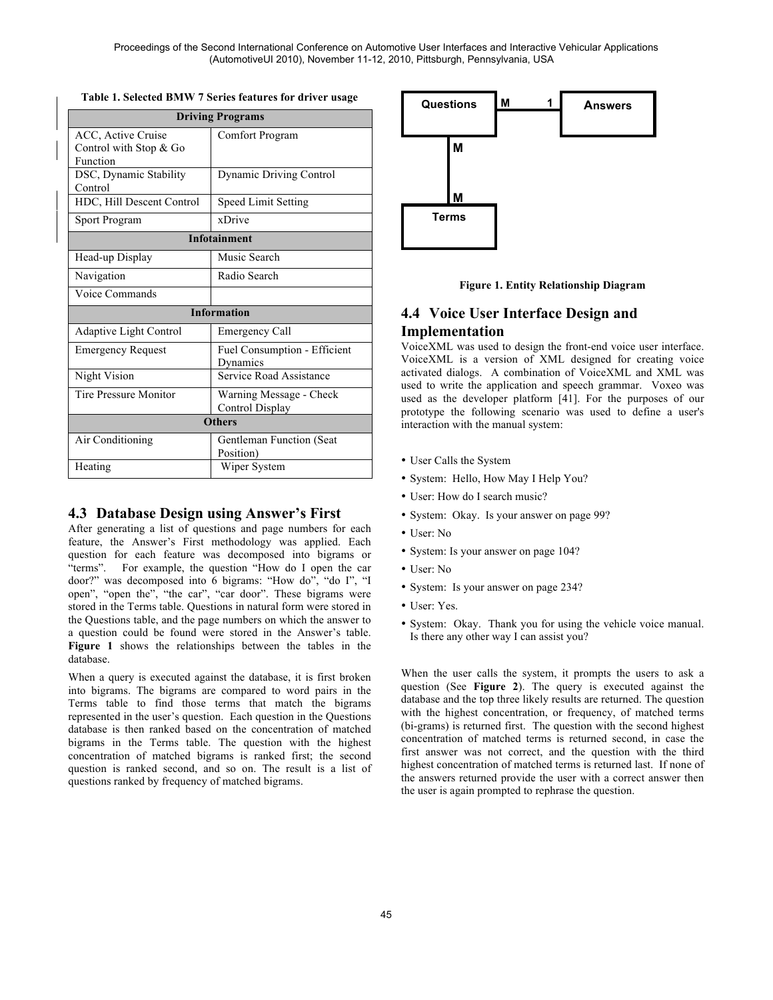Proceedings of the Second International Conference on Automotive User Interfaces and Interactive Vehicular Applications (AutomotiveUI 2010), November 11-12, 2010, Pittsburgh, Pennsylvania, USA

| <b>Driving Programs</b>                                  |                                            |
|----------------------------------------------------------|--------------------------------------------|
| ACC, Active Cruise<br>Control with Stop & Go<br>Function | Comfort Program                            |
| DSC, Dynamic Stability<br>Control                        | <b>Dynamic Driving Control</b>             |
| HDC, Hill Descent Control                                | <b>Speed Limit Setting</b>                 |
| Sport Program                                            | xDrive                                     |
| <b>Infotainment</b>                                      |                                            |
| Head-up Display                                          | Music Search                               |
| Navigation                                               | Radio Search                               |
| Voice Commands                                           |                                            |
| <b>Information</b>                                       |                                            |
| Adaptive Light Control                                   | <b>Emergency Call</b>                      |
| <b>Emergency Request</b>                                 | Fuel Consumption - Efficient<br>Dynamics   |
| Night Vision                                             | Service Road Assistance                    |
| <b>Tire Pressure Monitor</b>                             | Warning Message - Check<br>Control Display |
| <b>Others</b>                                            |                                            |
| Air Conditioning                                         | Gentleman Function (Seat<br>Position)      |
| Heating                                                  | Wiper System                               |

### **Table 1. Selected BMW 7 Series features for driver usage**

### **4.3 Database Design using Answer's First**

After generating a list of questions and page numbers for each feature, the Answer's First methodology was applied. Each question for each feature was decomposed into bigrams or "terms". For example, the question "How do I open the car For example, the question "How do I open the car door?" was decomposed into 6 bigrams: "How do", "do I", "I open", "open the", "the car", "car door". These bigrams were stored in the Terms table. Questions in natural form were stored in the Questions table, and the page numbers on which the answer to a question could be found were stored in the Answer's table. **Figure 1** shows the relationships between the tables in the database.

When a query is executed against the database, it is first broken into bigrams. The bigrams are compared to word pairs in the Terms table to find those terms that match the bigrams represented in the user's question. Each question in the Questions database is then ranked based on the concentration of matched bigrams in the Terms table. The question with the highest concentration of matched bigrams is ranked first; the second question is ranked second, and so on. The result is a list of questions ranked by frequency of matched bigrams.





# **4.4 Voice User Interface Design and Implementation**

VoiceXML was used to design the front-end voice user interface. VoiceXML is a version of XML designed for creating voice activated dialogs. A combination of VoiceXML and XML was used to write the application and speech grammar. Voxeo was used as the developer platform [41]. For the purposes of our prototype the following scenario was used to define a user's interaction with the manual system:

- User Calls the System
- System: Hello, How May I Help You?
- User: How do I search music?
- System: Okay. Is your answer on page 99?
- User: No
- System: Is your answer on page 104?
- User: No
- System: Is your answer on page 234?
- User: Yes.
- System: Okay. Thank you for using the vehicle voice manual. Is there any other way I can assist you?

When the user calls the system, it prompts the users to ask a question (See **Figure 2**). The query is executed against the database and the top three likely results are returned. The question with the highest concentration, or frequency, of matched terms (bi-grams) is returned first. The question with the second highest concentration of matched terms is returned second, in case the first answer was not correct, and the question with the third highest concentration of matched terms is returned last. If none of the answers returned provide the user with a correct answer then the user is again prompted to rephrase the question.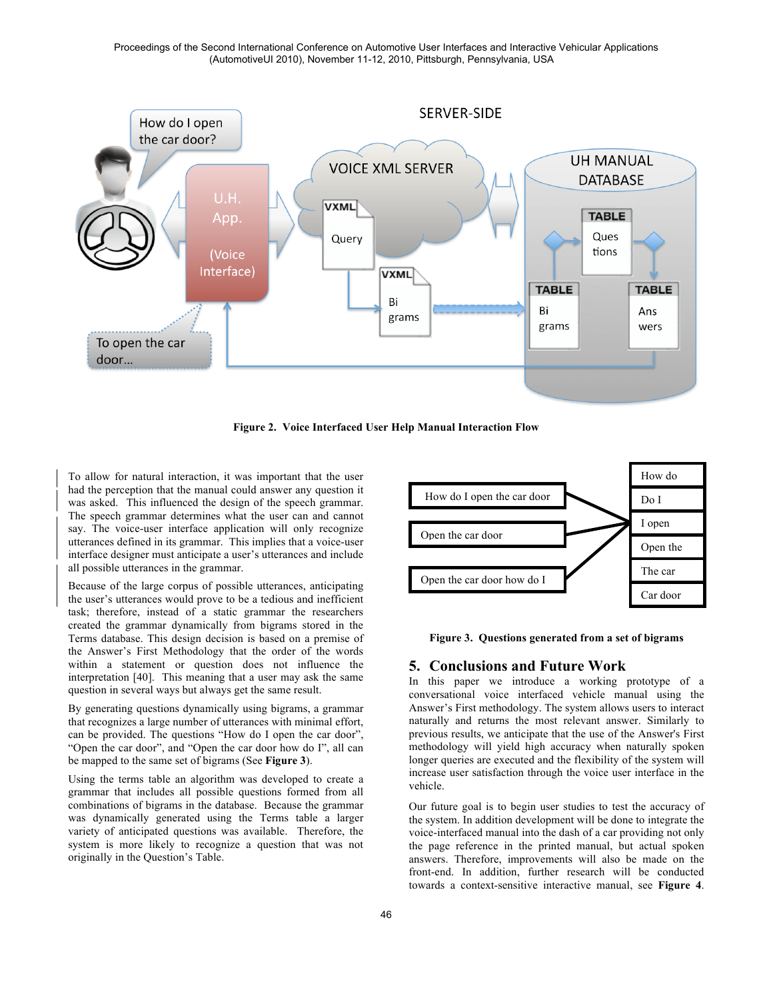

**Figure 2. Voice Interfaced User Help Manual Interaction Flow**

To allow for natural interaction, it was important that the user had the perception that the manual could answer any question it was asked. This influenced the design of the speech grammar. The speech grammar determines what the user can and cannot say. The voice-user interface application will only recognize utterances defined in its grammar. This implies that a voice-user interface designer must anticipate a user's utterances and include all possible utterances in the grammar.

Because of the large corpus of possible utterances, anticipating the user's utterances would prove to be a tedious and inefficient task; therefore, instead of a static grammar the researchers created the grammar dynamically from bigrams stored in the Terms database. This design decision is based on a premise of the Answer's First Methodology that the order of the words within a statement or question does not influence the interpretation [40]. This meaning that a user may ask the same question in several ways but always get the same result.

By generating questions dynamically using bigrams, a grammar that recognizes a large number of utterances with minimal effort, can be provided. The questions "How do I open the car door", "Open the car door", and "Open the car door how do I", all can be mapped to the same set of bigrams (See **Figure 3**).

Using the terms table an algorithm was developed to create a grammar that includes all possible questions formed from all combinations of bigrams in the database. Because the grammar was dynamically generated using the Terms table a larger variety of anticipated questions was available. Therefore, the system is more likely to recognize a question that was not originally in the Question's Table.



**Figure 3. Questions generated from a set of bigrams**

### **5. Conclusions and Future Work**

In this paper we introduce a working prototype of a conversational voice interfaced vehicle manual using the Answer's First methodology. The system allows users to interact naturally and returns the most relevant answer. Similarly to previous results, we anticipate that the use of the Answer's First methodology will yield high accuracy when naturally spoken longer queries are executed and the flexibility of the system will increase user satisfaction through the voice user interface in the vehicle.

Our future goal is to begin user studies to test the accuracy of the system. In addition development will be done to integrate the voice-interfaced manual into the dash of a car providing not only the page reference in the printed manual, but actual spoken answers. Therefore, improvements will also be made on the front-end. In addition, further research will be conducted towards a context-sensitive interactive manual, see **Figure 4**.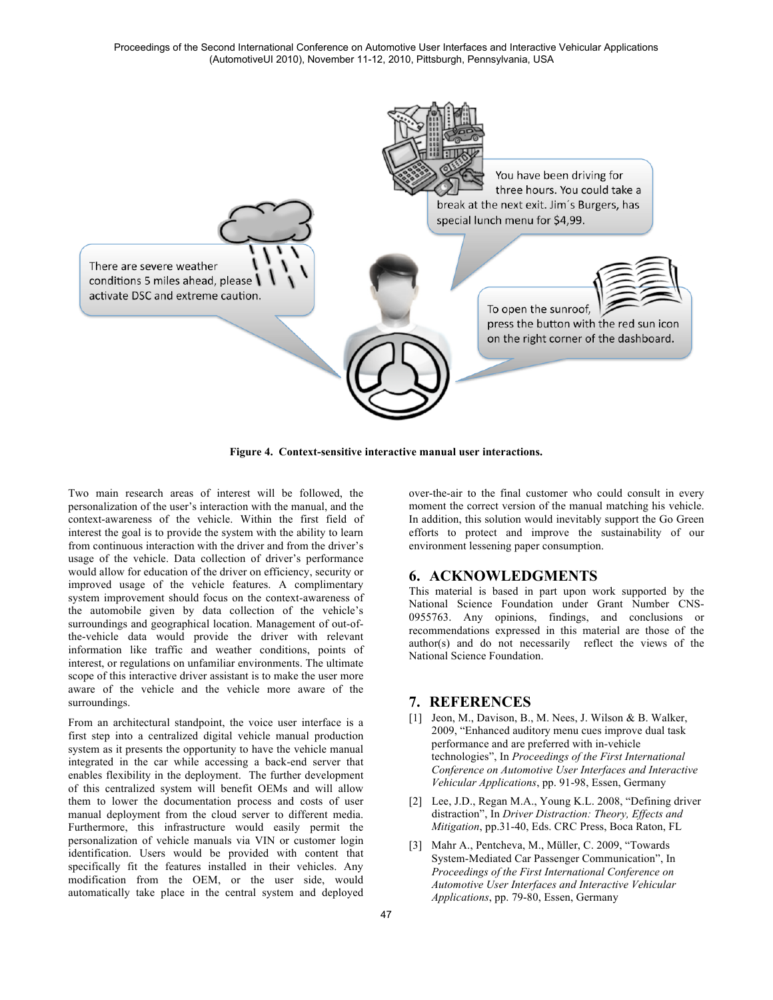

**Figure 4. Context-sensitive interactive manual user interactions.**

Two main research areas of interest will be followed, the personalization of the user's interaction with the manual, and the context-awareness of the vehicle. Within the first field of interest the goal is to provide the system with the ability to learn from continuous interaction with the driver and from the driver's usage of the vehicle. Data collection of driver's performance would allow for education of the driver on efficiency, security or improved usage of the vehicle features. A complimentary system improvement should focus on the context-awareness of the automobile given by data collection of the vehicle's surroundings and geographical location. Management of out-ofthe-vehicle data would provide the driver with relevant information like traffic and weather conditions, points of interest, or regulations on unfamiliar environments. The ultimate scope of this interactive driver assistant is to make the user more aware of the vehicle and the vehicle more aware of the surroundings.

From an architectural standpoint, the voice user interface is a first step into a centralized digital vehicle manual production system as it presents the opportunity to have the vehicle manual integrated in the car while accessing a back-end server that enables flexibility in the deployment. The further development of this centralized system will benefit OEMs and will allow them to lower the documentation process and costs of user manual deployment from the cloud server to different media. Furthermore, this infrastructure would easily permit the personalization of vehicle manuals via VIN or customer login identification. Users would be provided with content that specifically fit the features installed in their vehicles. Any modification from the OEM, or the user side, would automatically take place in the central system and deployed over-the-air to the final customer who could consult in every moment the correct version of the manual matching his vehicle. In addition, this solution would inevitably support the Go Green efforts to protect and improve the sustainability of our environment lessening paper consumption.

### **6. ACKNOWLEDGMENTS**

This material is based in part upon work supported by the National Science Foundation under Grant Number CNS-0955763. Any opinions, findings, and conclusions or recommendations expressed in this material are those of the author(s) and do not necessarily reflect the views of the National Science Foundation.

### **7. REFERENCES**

- [1] Jeon, M., Davison, B., M. Nees, J. Wilson & B. Walker, 2009, "Enhanced auditory menu cues improve dual task performance and are preferred with in-vehicle technologies", In *Proceedings of the First International Conference on Automotive User Interfaces and Interactive Vehicular Applications*, pp. 91-98, Essen, Germany
- [2] Lee, J.D., Regan M.A., Young K.L. 2008, "Defining driver distraction", In *Driver Distraction: Theory, Effects and Mitigation*, pp.31-40, Eds. CRC Press, Boca Raton, FL
- [3] Mahr A., Pentcheva, M., Müller, C. 2009, "Towards System-Mediated Car Passenger Communication", In *Proceedings of the First International Conference on Automotive User Interfaces and Interactive Vehicular Applications*, pp. 79-80, Essen, Germany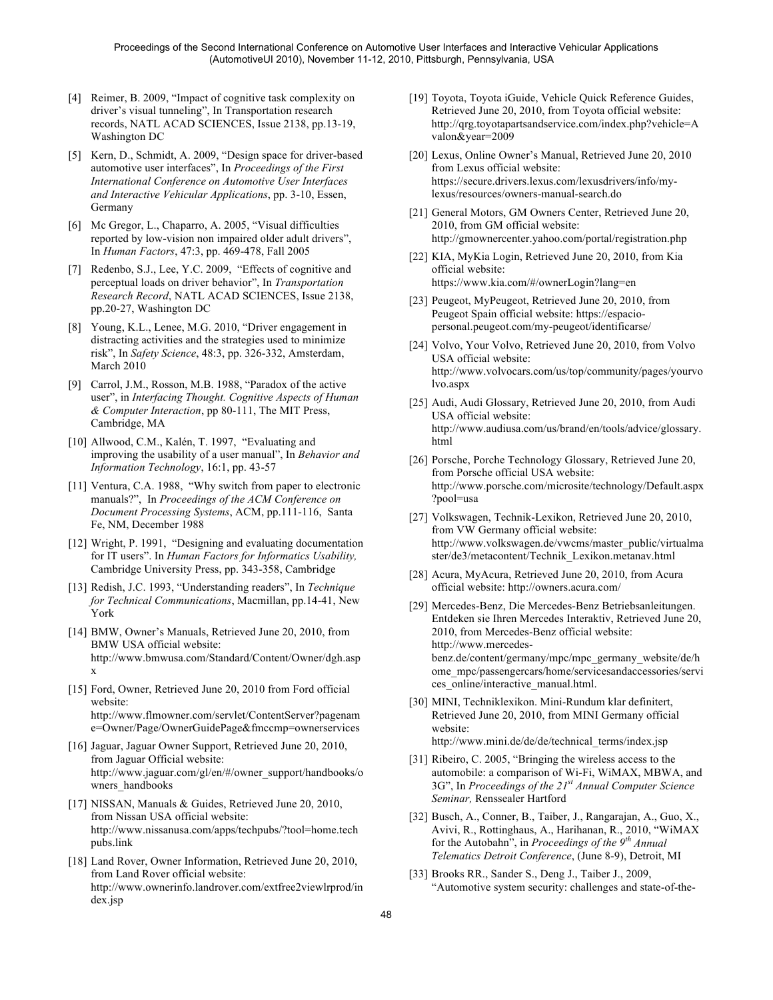- [4] Reimer, B. 2009, "Impact of cognitive task complexity on driver's visual tunneling", In Transportation research records, NATL ACAD SCIENCES, Issue 2138, pp.13-19, Washington DC
- [5] Kern, D., Schmidt, A. 2009, "Design space for driver-based automotive user interfaces", In *Proceedings of the First International Conference on Automotive User Interfaces and Interactive Vehicular Applications*, pp. 3-10, Essen, Germany
- [6] Mc Gregor, L., Chaparro, A. 2005, "Visual difficulties reported by low-vision non impaired older adult drivers", In *Human Factors*, 47:3, pp. 469-478, Fall 2005
- [7] Redenbo, S.J., Lee, Y.C. 2009, "Effects of cognitive and perceptual loads on driver behavior", In *Transportation Research Record*, NATL ACAD SCIENCES, Issue 2138, pp.20-27, Washington DC
- [8] Young, K.L., Lenee, M.G. 2010, "Driver engagement in distracting activities and the strategies used to minimize risk", In *Safety Science*, 48:3, pp. 326-332, Amsterdam, March 2010
- [9] Carrol, J.M., Rosson, M.B. 1988, "Paradox of the active user", in *Interfacing Thought. Cognitive Aspects of Human & Computer Interaction*, pp 80-111, The MIT Press, Cambridge, MA
- [10] Allwood, C.M., Kalén, T. 1997, "Evaluating and improving the usability of a user manual", In *Behavior and Information Technology*, 16:1, pp. 43-57
- [11] Ventura, C.A. 1988, "Why switch from paper to electronic manuals?", In *Proceedings of the ACM Conference on Document Processing Systems*, ACM, pp.111-116, Santa Fe, NM, December 1988
- [12] Wright, P. 1991, "Designing and evaluating documentation for IT users". In *Human Factors for Informatics Usability,*  Cambridge University Press, pp. 343-358, Cambridge
- [13] Redish, J.C. 1993, "Understanding readers", In *Technique for Technical Communications*, Macmillan, pp.14-41, New York
- [14] BMW, Owner's Manuals, Retrieved June 20, 2010, from BMW USA official website: http://www.bmwusa.com/Standard/Content/Owner/dgh.asp x
- [15] Ford, Owner, Retrieved June 20, 2010 from Ford official website: http://www.flmowner.com/servlet/ContentServer?pagenam
- [16] Jaguar, Jaguar Owner Support, Retrieved June 20, 2010, from Jaguar Official website: http://www.jaguar.com/gl/en/#/owner\_support/handbooks/o wners\_handbooks

e=Owner/Page/OwnerGuidePage&fmccmp=ownerservices

- [17] NISSAN, Manuals & Guides, Retrieved June 20, 2010, from Nissan USA official website: http://www.nissanusa.com/apps/techpubs/?tool=home.tech pubs.link
- [18] Land Rover, Owner Information, Retrieved June 20, 2010, from Land Rover official website: http://www.ownerinfo.landrover.com/extfree2viewlrprod/in dex.jsp
- [19] Toyota, Toyota iGuide, Vehicle Quick Reference Guides, Retrieved June 20, 2010, from Toyota official website: http://qrg.toyotapartsandservice.com/index.php?vehicle=A valon&year=2009
- [20] Lexus, Online Owner's Manual, Retrieved June 20, 2010 from Lexus official website: https://secure.drivers.lexus.com/lexusdrivers/info/mylexus/resources/owners-manual-search.do
- [21] General Motors, GM Owners Center, Retrieved June 20, 2010, from GM official website: http://gmownercenter.yahoo.com/portal/registration.php
- [22] KIA, MyKia Login, Retrieved June 20, 2010, from Kia official website: https://www.kia.com/#/ownerLogin?lang=en
- [23] Peugeot, MyPeugeot, Retrieved June 20, 2010, from Peugeot Spain official website: https://espaciopersonal.peugeot.com/my-peugeot/identificarse/
- [24] Volvo, Your Volvo, Retrieved June 20, 2010, from Volvo USA official website: http://www.volvocars.com/us/top/community/pages/yourvo lvo.aspx
- [25] Audi, Audi Glossary, Retrieved June 20, 2010, from Audi USA official website: http://www.audiusa.com/us/brand/en/tools/advice/glossary. html
- [26] Porsche, Porche Technology Glossary, Retrieved June 20, from Porsche official USA website: http://www.porsche.com/microsite/technology/Default.aspx ?pool=usa
- [27] Volkswagen, Technik-Lexikon, Retrieved June 20, 2010, from VW Germany official website: http://www.volkswagen.de/vwcms/master\_public/virtualma ster/de3/metacontent/Technik\_Lexikon.metanav.html
- [28] Acura, MyAcura, Retrieved June 20, 2010, from Acura official website: http://owners.acura.com/
- [29] Mercedes-Benz, Die Mercedes-Benz Betriebsanleitungen. Entdeken sie Ihren Mercedes Interaktiv, Retrieved June 20, 2010, from Mercedes-Benz official website: http://www.mercedesbenz.de/content/germany/mpc/mpc\_germany\_website/de/h ome\_mpc/passengercars/home/servicesandaccessories/servi ces\_online/interactive\_manual.html.
- [30] MINI, Techniklexikon. Mini-Rundum klar definitert, Retrieved June 20, 2010, from MINI Germany official website: http://www.mini.de/de/de/technical\_terms/index.jsp
- [31] Ribeiro, C. 2005, "Bringing the wireless access to the automobile: a comparison of Wi-Fi, WiMAX, MBWA, and 3G", In *Proceedings of the 21st Annual Computer Science Seminar,* Renssealer Hartford
- [32] Busch, A., Conner, B., Taiber, J., Rangarajan, A., Guo, X., Avivi, R., Rottinghaus, A., Harihanan, R., 2010, "WiMAX for the Autobahn", in *Proceedings of the 9th Annual Telematics Detroit Conference*, (June 8-9), Detroit, MI
- [33] Brooks RR., Sander S., Deng J., Taiber J., 2009, "Automotive system security: challenges and state-of-the-